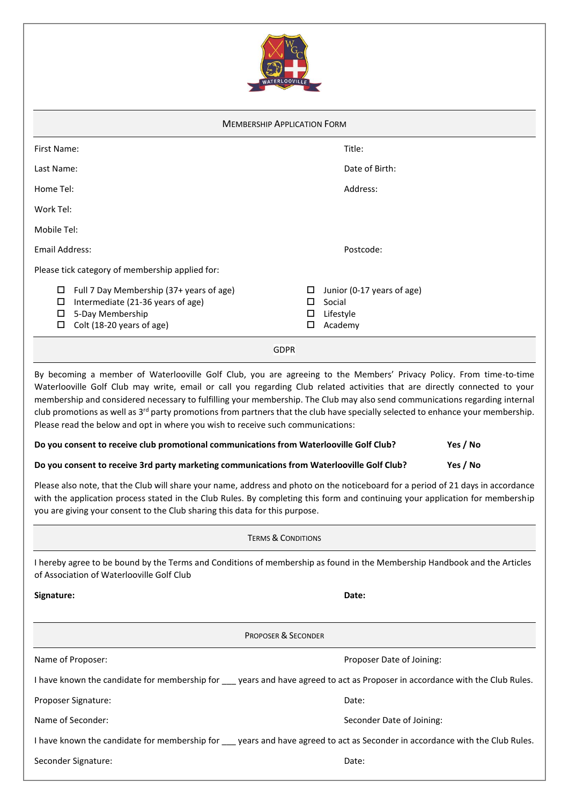

| <b>MEMBERSHIP APPLICATION FORM</b>                                                                                                                                                                                                                                                                                                                                                                                                                                                                                                                                                                                                                                                                            |                  |                                                              |          |  |  |  |
|---------------------------------------------------------------------------------------------------------------------------------------------------------------------------------------------------------------------------------------------------------------------------------------------------------------------------------------------------------------------------------------------------------------------------------------------------------------------------------------------------------------------------------------------------------------------------------------------------------------------------------------------------------------------------------------------------------------|------------------|--------------------------------------------------------------|----------|--|--|--|
| First Name:                                                                                                                                                                                                                                                                                                                                                                                                                                                                                                                                                                                                                                                                                                   |                  | Title:                                                       |          |  |  |  |
| Last Name:                                                                                                                                                                                                                                                                                                                                                                                                                                                                                                                                                                                                                                                                                                    |                  | Date of Birth:                                               |          |  |  |  |
| Home Tel:                                                                                                                                                                                                                                                                                                                                                                                                                                                                                                                                                                                                                                                                                                     |                  | Address:                                                     |          |  |  |  |
| Work Tel:                                                                                                                                                                                                                                                                                                                                                                                                                                                                                                                                                                                                                                                                                                     |                  |                                                              |          |  |  |  |
| Mobile Tel:                                                                                                                                                                                                                                                                                                                                                                                                                                                                                                                                                                                                                                                                                                   |                  |                                                              |          |  |  |  |
| Email Address:                                                                                                                                                                                                                                                                                                                                                                                                                                                                                                                                                                                                                                                                                                |                  | Postcode:                                                    |          |  |  |  |
| Please tick category of membership applied for:                                                                                                                                                                                                                                                                                                                                                                                                                                                                                                                                                                                                                                                               |                  |                                                              |          |  |  |  |
| Full 7 Day Membership (37+ years of age)<br>Intermediate (21-36 years of age)<br>□<br>5-Day Membership<br>□<br>Colt (18-20 years of age)<br>□                                                                                                                                                                                                                                                                                                                                                                                                                                                                                                                                                                 | □<br>□<br>□<br>◻ | Junior (0-17 years of age)<br>Social<br>Lifestyle<br>Academy |          |  |  |  |
| <b>GDPR</b>                                                                                                                                                                                                                                                                                                                                                                                                                                                                                                                                                                                                                                                                                                   |                  |                                                              |          |  |  |  |
| By becoming a member of Waterlooville Golf Club, you are agreeing to the Members' Privacy Policy. From time-to-time<br>Waterlooville Golf Club may write, email or call you regarding Club related activities that are directly connected to your<br>membership and considered necessary to fulfilling your membership. The Club may also send communications regarding internal<br>club promotions as well as 3 <sup>rd</sup> party promotions from partners that the club have specially selected to enhance your membership.<br>Please read the below and opt in where you wish to receive such communications:<br>Do you consent to receive club promotional communications from Waterlooville Golf Club? |                  |                                                              | Yes / No |  |  |  |
| Do you consent to receive 3rd party marketing communications from Waterlooville Golf Club?                                                                                                                                                                                                                                                                                                                                                                                                                                                                                                                                                                                                                    |                  |                                                              | Yes / No |  |  |  |
| Please also note, that the Club will share your name, address and photo on the noticeboard for a period of 21 days in accordance                                                                                                                                                                                                                                                                                                                                                                                                                                                                                                                                                                              |                  |                                                              |          |  |  |  |

Please also note, that the Club will share your name, address and photo on the noticeboard for a period of 21 days in accordance with the application process stated in the Club Rules. By completing this form and continuing your application for membership you are giving your consent to the Club sharing this data for this purpose.

# TERMS & CONDITIONS

I hereby agree to be bound by the Terms and Conditions of membership as found in the Membership Handbook and the Articles of Association of Waterlooville Golf Club

**Signature: Date:**

|                     | <b>PROPOSER &amp; SECONDER</b>                                                                                                |
|---------------------|-------------------------------------------------------------------------------------------------------------------------------|
| Name of Proposer:   | Proposer Date of Joining:                                                                                                     |
|                     | I have known the candidate for membership for years and have agreed to act as Proposer in accordance with the Club Rules.     |
| Proposer Signature: | Date:                                                                                                                         |
| Name of Seconder:   | Seconder Date of Joining:                                                                                                     |
|                     | I have known the candidate for membership for ___ years and have agreed to act as Seconder in accordance with the Club Rules. |
| Seconder Signature: | Date:                                                                                                                         |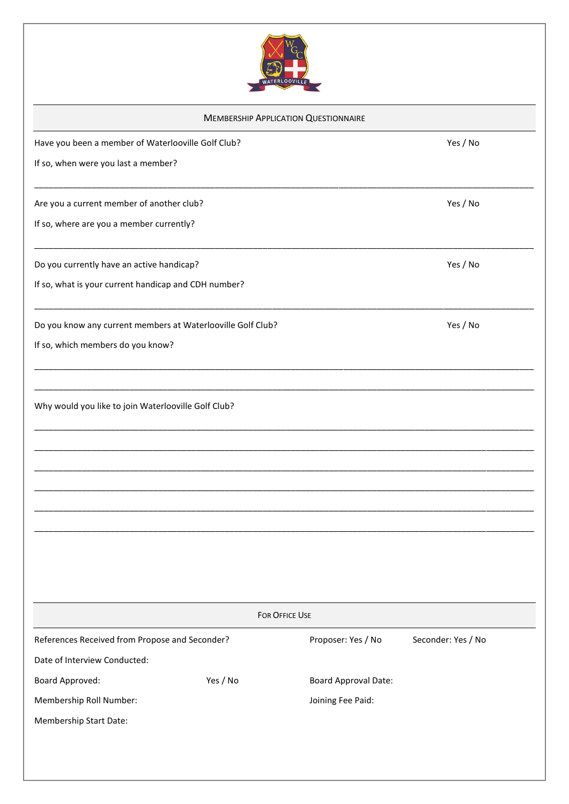

| Have you been a member of Waterlooville Golf Club?<br>Yes / No<br>Yes / No<br>Yes / No<br>Yes / No<br>FOR OFFICE USE<br>Proposer: Yes / No<br>Yes / No<br><b>Board Approval Date:</b><br>Joining Fee Paid:                                                                                                                            | <b>MEMBERSHIP APPLICATION QUESTIONNAIRE</b> |                    |
|---------------------------------------------------------------------------------------------------------------------------------------------------------------------------------------------------------------------------------------------------------------------------------------------------------------------------------------|---------------------------------------------|--------------------|
| If so, when were you last a member?<br>Are you a current member of another club?<br>If so, where are you a member currently?                                                                                                                                                                                                          |                                             |                    |
|                                                                                                                                                                                                                                                                                                                                       |                                             |                    |
|                                                                                                                                                                                                                                                                                                                                       |                                             |                    |
| Do you currently have an active handicap?<br>If so, what is your current handicap and CDH number?<br>Do you know any current members at Waterlooville Golf Club?<br>If so, which members do you know?<br>References Received from Propose and Seconder?<br>Date of Interview Conducted:<br>Board Approved:<br>Membership Roll Number: |                                             |                    |
|                                                                                                                                                                                                                                                                                                                                       |                                             |                    |
|                                                                                                                                                                                                                                                                                                                                       |                                             |                    |
|                                                                                                                                                                                                                                                                                                                                       |                                             |                    |
| Why would you like to join Waterlooville Golf Club?                                                                                                                                                                                                                                                                                   |                                             |                    |
|                                                                                                                                                                                                                                                                                                                                       |                                             |                    |
|                                                                                                                                                                                                                                                                                                                                       |                                             |                    |
|                                                                                                                                                                                                                                                                                                                                       |                                             |                    |
|                                                                                                                                                                                                                                                                                                                                       |                                             |                    |
|                                                                                                                                                                                                                                                                                                                                       |                                             |                    |
|                                                                                                                                                                                                                                                                                                                                       |                                             |                    |
|                                                                                                                                                                                                                                                                                                                                       |                                             |                    |
|                                                                                                                                                                                                                                                                                                                                       |                                             |                    |
|                                                                                                                                                                                                                                                                                                                                       |                                             |                    |
|                                                                                                                                                                                                                                                                                                                                       |                                             | Seconder: Yes / No |
|                                                                                                                                                                                                                                                                                                                                       |                                             |                    |
|                                                                                                                                                                                                                                                                                                                                       |                                             |                    |
|                                                                                                                                                                                                                                                                                                                                       |                                             |                    |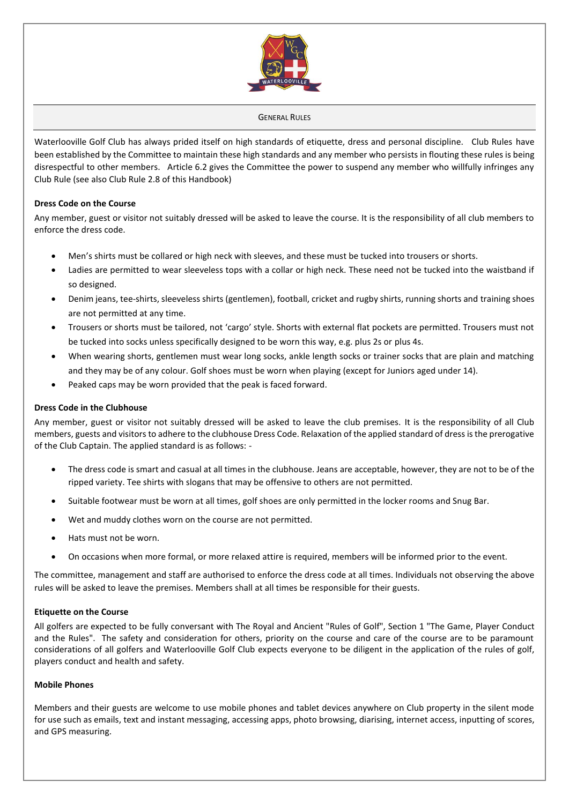

#### GENERAL RULES

Waterlooville Golf Club has always prided itself on high standards of etiquette, dress and personal discipline. Club Rules have been established by the Committee to maintain these high standards and any member who persists in flouting these rules is being disrespectful to other members. Article 6.2 gives the Committee the power to suspend any member who willfully infringes any Club Rule (see also Club Rule 2.8 of this Handbook)

### **Dress Code on the Course**

Any member, guest or visitor not suitably dressed will be asked to leave the course. It is the responsibility of all club members to enforce the dress code.

- Men's shirts must be collared or high neck with sleeves, and these must be tucked into trousers or shorts.
- Ladies are permitted to wear sleeveless tops with a collar or high neck. These need not be tucked into the waistband if so designed.
- Denim jeans, tee-shirts, sleeveless shirts (gentlemen), football, cricket and rugby shirts, running shorts and training shoes are not permitted at any time.
- Trousers or shorts must be tailored, not 'cargo' style. Shorts with external flat pockets are permitted. Trousers must not be tucked into socks unless specifically designed to be worn this way, e.g. plus 2s or plus 4s.
- When wearing shorts, gentlemen must wear long socks, ankle length socks or trainer socks that are plain and matching and they may be of any colour. Golf shoes must be worn when playing (except for Juniors aged under 14).
- Peaked caps may be worn provided that the peak is faced forward.

### **Dress Code in the Clubhouse**

Any member, guest or visitor not suitably dressed will be asked to leave the club premises. It is the responsibility of all Club members, guests and visitorsto adhere to the clubhouse Dress Code. Relaxation of the applied standard of dress is the prerogative of the Club Captain. The applied standard is as follows: -

- The dress code is smart and casual at all times in the clubhouse. Jeans are acceptable, however, they are not to be of the ripped variety. Tee shirts with slogans that may be offensive to others are not permitted.
- Suitable footwear must be worn at all times, golf shoes are only permitted in the locker rooms and Snug Bar.
- Wet and muddy clothes worn on the course are not permitted.
- Hats must not be worn.
- On occasions when more formal, or more relaxed attire is required, members will be informed prior to the event.

The committee, management and staff are authorised to enforce the dress code at all times. Individuals not observing the above rules will be asked to leave the premises. Members shall at all times be responsible for their guests.

### **Etiquette on the Course**

All golfers are expected to be fully conversant with The Royal and Ancient "Rules of Golf", Section 1 "The Game, Player Conduct and the Rules". The safety and consideration for others, priority on the course and care of the course are to be paramount considerations of all golfers and Waterlooville Golf Club expects everyone to be diligent in the application of the rules of golf, players conduct and health and safety.

### **Mobile Phones**

Members and their guests are welcome to use mobile phones and tablet devices anywhere on Club property in the silent mode for use such as emails, text and instant messaging, accessing apps, photo browsing, diarising, internet access, inputting of scores, and GPS measuring.